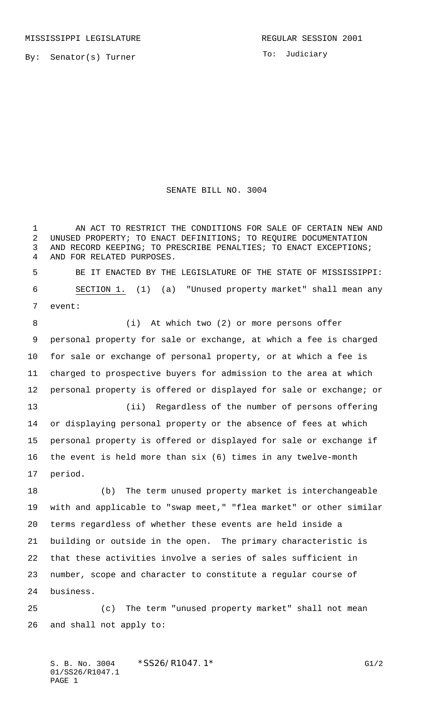To: Judiciary

## SENATE BILL NO. 3004

1 AN ACT TO RESTRICT THE CONDITIONS FOR SALE OF CERTAIN NEW AND UNUSED PROPERTY; TO ENACT DEFINITIONS; TO REQUIRE DOCUMENTATION AND RECORD KEEPING; TO PRESCRIBE PENALTIES; TO ENACT EXCEPTIONS; AND FOR RELATED PURPOSES. BE IT ENACTED BY THE LEGISLATURE OF THE STATE OF MISSISSIPPI: SECTION 1. (1) (a) "Unused property market" shall mean any event: 8 (i) At which two (2) or more persons offer personal property for sale or exchange, at which a fee is charged for sale or exchange of personal property, or at which a fee is

 charged to prospective buyers for admission to the area at which personal property is offered or displayed for sale or exchange; or (ii) Regardless of the number of persons offering

 or displaying personal property or the absence of fees at which personal property is offered or displayed for sale or exchange if the event is held more than six (6) times in any twelve-month period.

 (b) The term unused property market is interchangeable with and applicable to "swap meet," "flea market" or other similar terms regardless of whether these events are held inside a building or outside in the open. The primary characteristic is that these activities involve a series of sales sufficient in number, scope and character to constitute a regular course of business.

 (c) The term "unused property market" shall not mean and shall not apply to: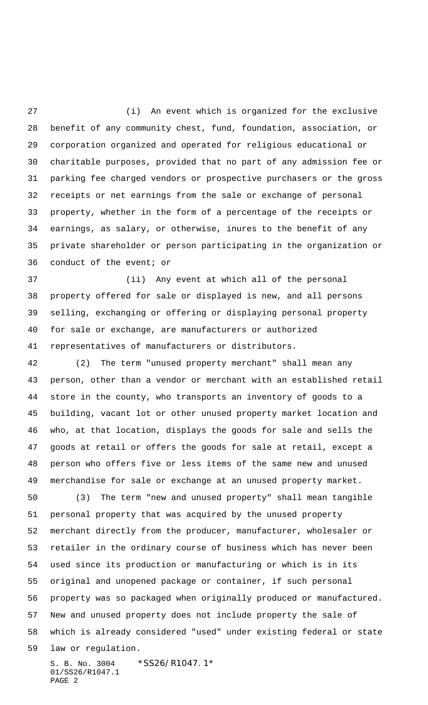(i) An event which is organized for the exclusive benefit of any community chest, fund, foundation, association, or corporation organized and operated for religious educational or charitable purposes, provided that no part of any admission fee or parking fee charged vendors or prospective purchasers or the gross receipts or net earnings from the sale or exchange of personal property, whether in the form of a percentage of the receipts or earnings, as salary, or otherwise, inures to the benefit of any private shareholder or person participating in the organization or conduct of the event; or

 (ii) Any event at which all of the personal property offered for sale or displayed is new, and all persons selling, exchanging or offering or displaying personal property for sale or exchange, are manufacturers or authorized representatives of manufacturers or distributors.

S. B. No. 3004 \*SS26/R1047.1\* (2) The term "unused property merchant" shall mean any person, other than a vendor or merchant with an established retail store in the county, who transports an inventory of goods to a building, vacant lot or other unused property market location and who, at that location, displays the goods for sale and sells the goods at retail or offers the goods for sale at retail, except a person who offers five or less items of the same new and unused merchandise for sale or exchange at an unused property market. (3) The term "new and unused property" shall mean tangible personal property that was acquired by the unused property merchant directly from the producer, manufacturer, wholesaler or retailer in the ordinary course of business which has never been used since its production or manufacturing or which is in its original and unopened package or container, if such personal property was so packaged when originally produced or manufactured. New and unused property does not include property the sale of which is already considered "used" under existing federal or state law or regulation.

01/SS26/R1047.1 PAGE 2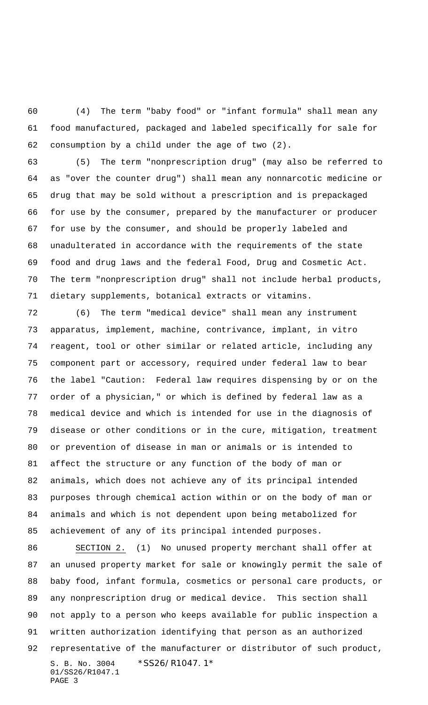(4) The term "baby food" or "infant formula" shall mean any food manufactured, packaged and labeled specifically for sale for consumption by a child under the age of two (2).

 (5) The term "nonprescription drug" (may also be referred to as "over the counter drug") shall mean any nonnarcotic medicine or drug that may be sold without a prescription and is prepackaged for use by the consumer, prepared by the manufacturer or producer for use by the consumer, and should be properly labeled and unadulterated in accordance with the requirements of the state food and drug laws and the federal Food, Drug and Cosmetic Act. The term "nonprescription drug" shall not include herbal products, dietary supplements, botanical extracts or vitamins.

 (6) The term "medical device" shall mean any instrument apparatus, implement, machine, contrivance, implant, in vitro reagent, tool or other similar or related article, including any component part or accessory, required under federal law to bear the label "Caution: Federal law requires dispensing by or on the order of a physician," or which is defined by federal law as a medical device and which is intended for use in the diagnosis of disease or other conditions or in the cure, mitigation, treatment or prevention of disease in man or animals or is intended to affect the structure or any function of the body of man or animals, which does not achieve any of its principal intended purposes through chemical action within or on the body of man or animals and which is not dependent upon being metabolized for achievement of any of its principal intended purposes.

S. B. No. 3004 \*SS26/R1047.1\* 01/SS26/R1047.1 PAGE 3 SECTION 2. (1) No unused property merchant shall offer at an unused property market for sale or knowingly permit the sale of baby food, infant formula, cosmetics or personal care products, or any nonprescription drug or medical device. This section shall not apply to a person who keeps available for public inspection a written authorization identifying that person as an authorized representative of the manufacturer or distributor of such product,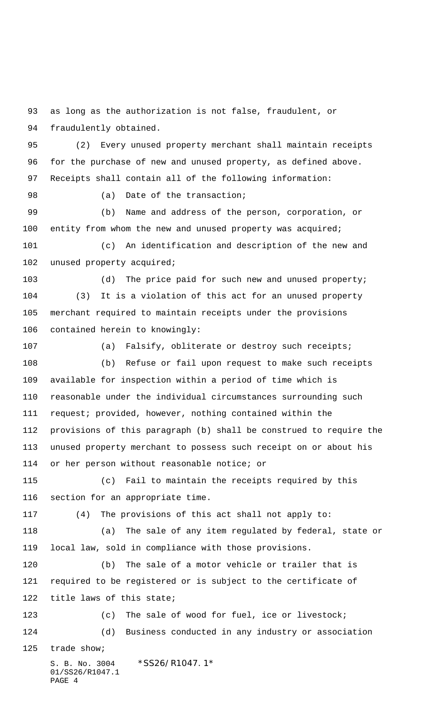as long as the authorization is not false, fraudulent, or fraudulently obtained.

 (2) Every unused property merchant shall maintain receipts for the purchase of new and unused property, as defined above. Receipts shall contain all of the following information:

98 (a) Date of the transaction;

 (b) Name and address of the person, corporation, or 100 entity from whom the new and unused property was acquired;

 (c) An identification and description of the new and unused property acquired;

103 (d) The price paid for such new and unused property; (3) It is a violation of this act for an unused property merchant required to maintain receipts under the provisions contained herein to knowingly:

(a) Falsify, obliterate or destroy such receipts;

 (b) Refuse or fail upon request to make such receipts available for inspection within a period of time which is reasonable under the individual circumstances surrounding such request; provided, however, nothing contained within the provisions of this paragraph (b) shall be construed to require the unused property merchant to possess such receipt on or about his or her person without reasonable notice; or

 (c) Fail to maintain the receipts required by this section for an appropriate time.

(4) The provisions of this act shall not apply to:

 (a) The sale of any item regulated by federal, state or local law, sold in compliance with those provisions.

 (b) The sale of a motor vehicle or trailer that is required to be registered or is subject to the certificate of title laws of this state;

 (c) The sale of wood for fuel, ice or livestock; (d) Business conducted in any industry or association

trade show;

S. B. No. 3004 \*SS26/R1047.1\* 01/SS26/R1047.1 PAGE 4